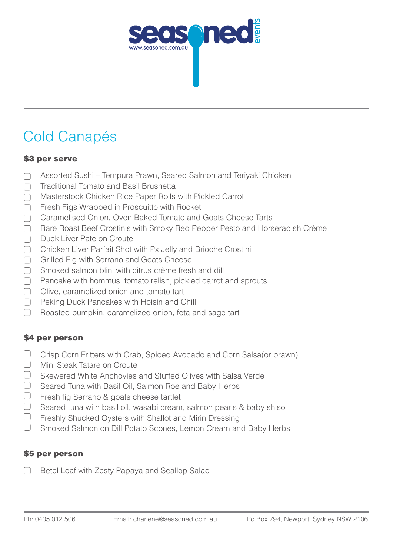

# Cold Canapés

#### \$3 per serve

- Assorted Sushi Tempura Prawn, Seared Salmon and Teriyaki Chicken  $\Box$
- Traditional Tomato and Basil Brushetta  $\Box$
- Masterstock Chicken Rice Paper Rolls with Pickled Carrot  $\Box$
- Fresh Figs Wrapped in Proscuitto with Rocket  $\Box$
- Caramelised Onion, Oven Baked Tomato and Goats Cheese Tarts  $\Box$
- $\Box$ Rare Roast Beef Crostinis with Smoky Red Pepper Pesto and Horseradish Crème
- Duck Liver Pate on Croute  $\Box$
- Chicken Liver Parfait Shot with Px Jelly and Brioche Crostini  $\Box$
- Grilled Fig with Serrano and Goats Cheese  $\Box$
- Smoked salmon blini with citrus crème fresh and dill  $\Box$
- Pancake with hommus, tomato relish, pickled carrot and sprouts  $\Box$
- $\bigcap$  Olive, caramelized onion and tomato tart
- □ Peking Duck Pancakes with Hoisin and Chilli
- $\begin{array}{c} \begin{array}{c} \end{array} \end{array}$ Roasted pumpkin, caramelized onion, feta and sage tart

### \$4 per person

- $\Box$ Crisp Corn Fritters with Crab, Spiced Avocado and Corn Salsa(or prawn)
- $\Box$ Mini Steak Tatare on Croute
- $\Box$ Skewered White Anchovies and Stuffed Olives with Salsa Verde
- $\Box$ Seared Tuna with Basil Oil, Salmon Roe and Baby Herbs
- $\Box$  Fresh fig Serrano & goats cheese tartlet
- $\Box$ Seared tuna with basil oil, wasabi cream, salmon pearls & baby shiso
- $\Box$ Freshly Shucked Oysters with Shallot and Mirin Dressing
- $\Box$ Smoked Salmon on Dill Potato Scones, Lemon Cream and Baby Herbs

### \$5 per person

Betel Leaf with Zesty Papaya and Scallop Salad